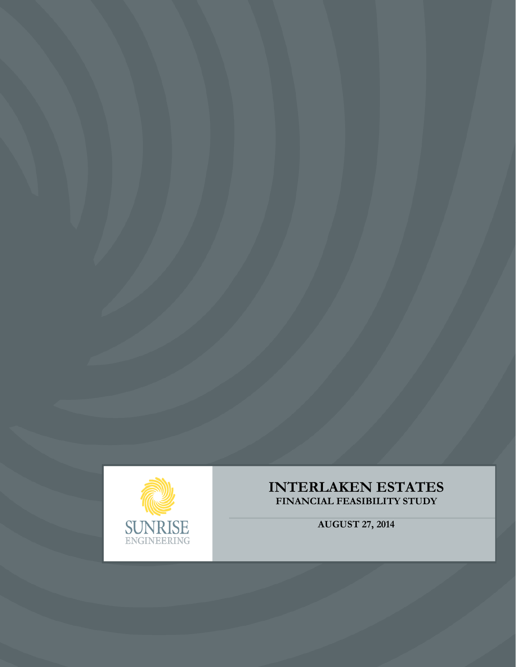

# **INTERLAKEN ESTATES FINANCIAL FEASIBILITY STUDY**

**AUGUST 27, 2014**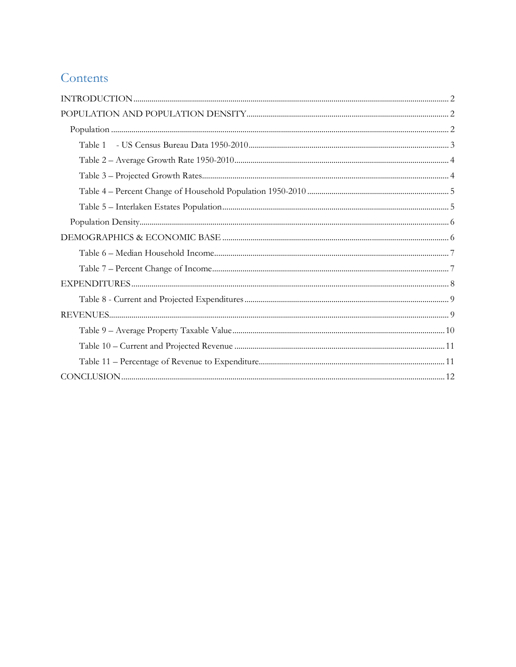# Contents

| Table 1 |  |
|---------|--|
|         |  |
|         |  |
|         |  |
|         |  |
|         |  |
|         |  |
|         |  |
|         |  |
|         |  |
|         |  |
|         |  |
|         |  |
|         |  |
|         |  |
|         |  |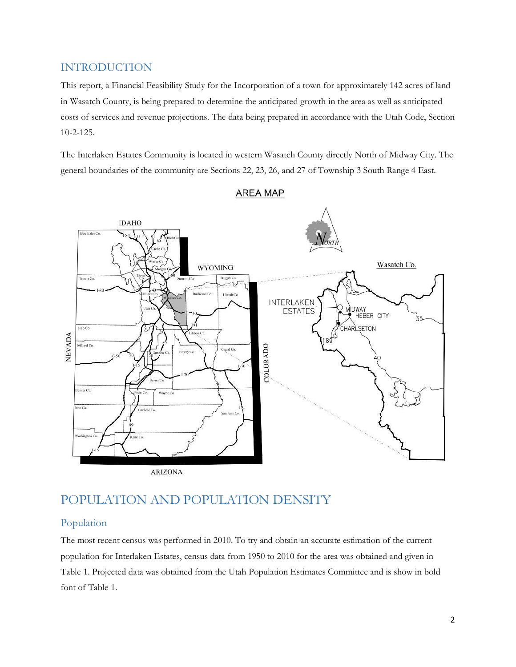## INTRODUCTION

This report, a Financial Feasibility Study for the Incorporation of a town for approximately 142 acres of land in Wasatch County, is being prepared to determine the anticipated growth in the area as well as anticipated costs of services and revenue projections. The data being prepared in accordance with the Utah Code, Section 10-2-125.

The Interlaken Estates Community is located in western Wasatch County directly North of Midway City. The general boundaries of the community are Sections 22, 23, 26, and 27 of Township 3 South Range 4 East.



#### **AREA MAP**

## POPULATION AND POPULATION DENSITY

#### Population

The most recent census was performed in 2010. To try and obtain an accurate estimation of the current population for Interlaken Estates, census data from 1950 to 2010 for the area was obtained and given in Table 1. Projected data was obtained from the Utah Population Estimates Committee and is show in bold font of Table 1.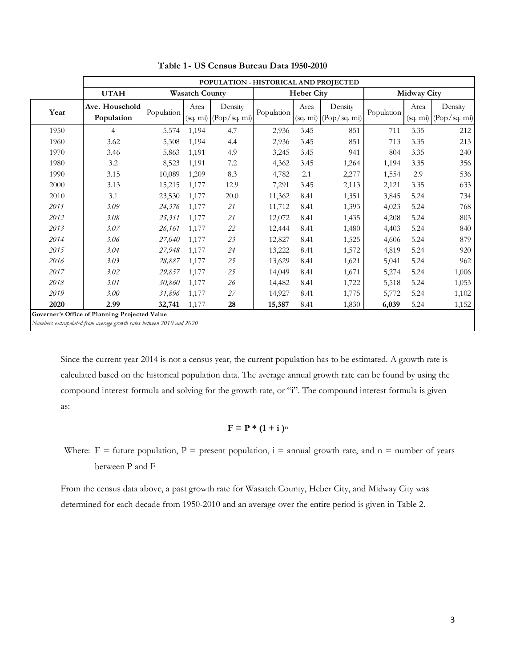|      |                              |            |                       | POPULATION - HISTORICAL AND PROJECTED |            |                   |                                  |            |                    |                                  |
|------|------------------------------|------------|-----------------------|---------------------------------------|------------|-------------------|----------------------------------|------------|--------------------|----------------------------------|
|      | <b>UTAH</b>                  |            | <b>Wasatch County</b> |                                       |            | <b>Heber City</b> |                                  |            | <b>Midway City</b> |                                  |
| Year | Ave. Household<br>Population | Population | Area<br>(sq. m)       | Density<br>(Pop/sq. m)                | Population | Area<br>(sq. m)   | Density<br>$(\text{Pop/sq. mi})$ | Population | Area<br>(sq. m)    | Density<br>$(\text{Pop/sq. m1})$ |
| 1950 | 4                            | 5,574      | 1,194                 | 4.7                                   | 2,936      | 3.45              | 851                              | 711        | 3.35               | 212                              |
| 1960 | 3.62                         | 5,308      | 1,194                 | 4.4                                   | 2,936      | 3.45              | 851                              | 713        | 3.35               | 213                              |
| 1970 | 3.46                         | 5,863      | 1,191                 | 4.9                                   | 3,245      | 3.45              | 941                              | 804        | 3.35               | 240                              |
| 1980 | 3.2                          | 8,523      | 1,191                 | 7.2                                   | 4,362      | 3.45              | 1,264                            | 1,194      | 3.35               | 356                              |
| 1990 | 3.15                         | 10,089     | 1,209                 | 8.3                                   | 4,782      | 2.1               | 2,277                            | 1,554      | 2.9                | 536                              |
| 2000 | 3.13                         | 15,215     | 1,177                 | 12.9                                  | 7,291      | 3.45              | 2,113                            | 2,121      | 3.35               | 633                              |
| 2010 | 3.1                          | 23,530     | 1,177                 | 20.0                                  | 11,362     | 8.41              | 1,351                            | 3,845      | 5.24               | 734                              |
| 2011 | 3.09                         | 24,376     | 1,177                 | 21                                    | 11,712     | 8.41              | 1,393                            | 4,023      | 5.24               | 768                              |
| 2012 | 3.08                         | 25,311     | 1,177                 | 21                                    | 12,072     | 8.41              | 1,435                            | 4,208      | 5.24               | 803                              |
| 2013 | 3.07                         | 26,161     | 1,177                 | 22                                    | 12,444     | 8.41              | 1,480                            | 4,403      | 5.24               | 840                              |
| 2014 | 3.06                         | 27,040     | 1,177                 | 23                                    | 12,827     | 8.41              | 1,525                            | 4,606      | 5.24               | 879                              |
| 2015 | 3.04                         | 27,948     | 1,177                 | 24                                    | 13,222     | 8.41              | 1,572                            | 4,819      | 5.24               | 920                              |
| 2016 | 3.03                         | 28,887     | 1,177                 | 25                                    | 13,629     | 8.41              | 1,621                            | 5,041      | 5.24               | 962                              |
| 2017 | 3.02                         | 29,857     | 1,177                 | 25                                    | 14,049     | 8.41              | 1,671                            | 5,274      | 5.24               | 1,006                            |
| 2018 | 3.01                         | 30,860     | 1,177                 | 26                                    | 14,482     | 8.41              | 1,722                            | 5,518      | 5.24               | 1,053                            |
| 2019 | 3.00                         | 31,896     | 1,177                 | 27                                    | 14,927     | 8.41              | 1,775                            | 5,772      | 5.24               | 1,102                            |
| 2020 | 2.99                         | 32,741     | 1,177                 | 28                                    | 15,387     | 8.41              | 1,830                            | 6,039      | 5.24               | 1,152                            |

**Table 1 - US Census Bureau Data 1950-2010** 

Since the current year 2014 is not a census year, the current population has to be estimated. A growth rate is calculated based on the historical population data. The average annual growth rate can be found by using the compound interest formula and solving for the growth rate, or "i". The compound interest formula is given as:

$$
F = P * (1 + i)^n
$$

Where:  $F =$  future population,  $P =$  present population,  $i =$  annual growth rate, and  $n =$  number of years between P and F

From the census data above, a past growth rate for Wasatch County, Heber City, and Midway City was determined for each decade from 1950-2010 and an average over the entire period is given in Table 2.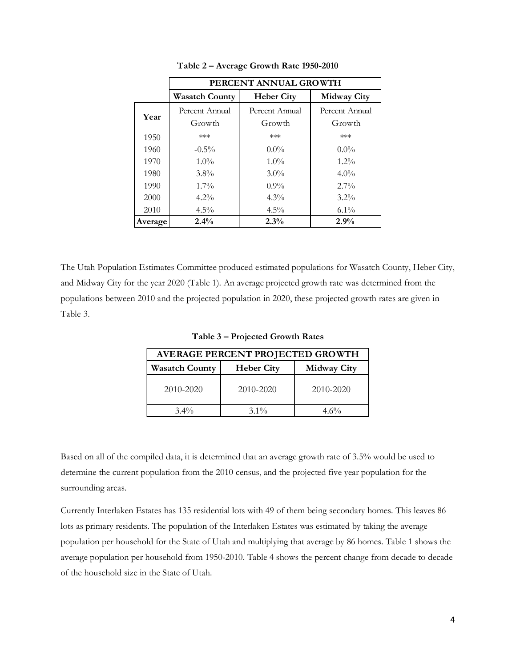|         | PERCENT ANNUAL GROWTH    |                          |                          |  |
|---------|--------------------------|--------------------------|--------------------------|--|
|         | <b>Wasatch County</b>    | <b>Heber City</b>        | <b>Midway City</b>       |  |
| Year    | Percent Annual<br>Growth | Percent Annual<br>Growth | Percent Annual<br>Growth |  |
| 1950    | ***                      | ***                      | ***                      |  |
| 1960    | $-0.5\%$                 | $0.0\%$                  | $0.0\%$                  |  |
| 1970    | $1.0\%$                  | $1.0\%$                  | $1.2\%$                  |  |
| 1980    | $3.8\%$                  | $3.0\%$                  | $4.0\%$                  |  |
| 1990    | $1.7\%$                  | $0.9\%$                  | $2.7\%$                  |  |
| 2000    | $4.2\%$                  | $4.3\%$                  | $3.2\%$                  |  |
| 2010    | $4.5\%$                  | $4.5\%$                  | $6.1\%$                  |  |
| Average | 2.4%                     | 2.3%                     | 2.9%                     |  |

**Table 2 – Average Growth Rate 1950-2010**

The Utah Population Estimates Committee produced estimated populations for Wasatch County, Heber City, and Midway City for the year 2020 (Table 1). An average projected growth rate was determined from the populations between 2010 and the projected population in 2020, these projected growth rates are given in Table 3.

**Table 3 – Projected Growth Rates**

| AVERAGE PERCENT PROJECTED GROWTH |                   |                    |  |
|----------------------------------|-------------------|--------------------|--|
| <b>Wasatch County</b>            | <b>Heber City</b> | <b>Midway City</b> |  |
| 2010-2020                        | 2010-2020         | 2010-2020          |  |
| $3.4\%$                          | $3.1\%$           | $4.6\%$            |  |

Based on all of the compiled data, it is determined that an average growth rate of 3.5% would be used to determine the current population from the 2010 census, and the projected five year population for the surrounding areas.

Currently Interlaken Estates has 135 residential lots with 49 of them being secondary homes. This leaves 86 lots as primary residents. The population of the Interlaken Estates was estimated by taking the average population per household for the State of Utah and multiplying that average by 86 homes. Table 1 shows the average population per household from 1950-2010. Table 4 shows the percent change from decade to decade of the household size in the State of Utah.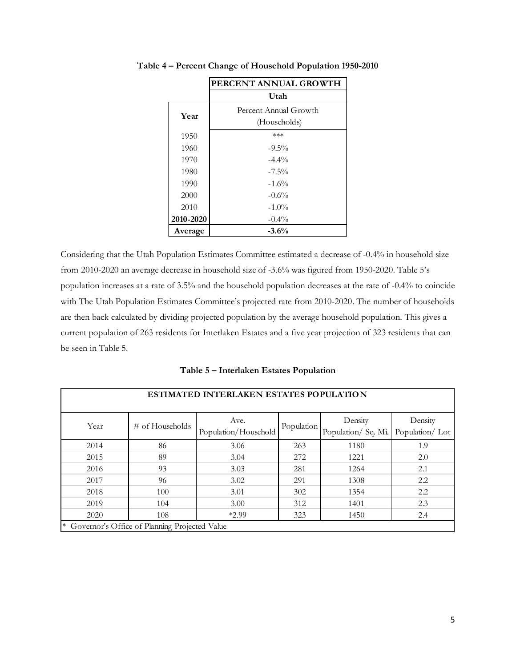|           | PERCENT ANNUAL GROWTH |
|-----------|-----------------------|
|           | Utah                  |
| Year      | Percent Annual Growth |
|           | (Households)          |
| 1950      | ***                   |
| 1960      | $-9.5\%$              |
| 1970      | $-4.4\%$              |
| 1980      | $-7.5\%$              |
| 1990      | $-1.6\%$              |
| 2000      | $-0.6%$               |
| 2010      | $-1.0\%$              |
| 2010-2020 | $-0.4\%$              |
| Average   | $-3.6%$               |

**Table 4 – Percent Change of Household Population 1950-2010**

Considering that the Utah Population Estimates Committee estimated a decrease of -0.4% in household size from 2010-2020 an average decrease in household size of -3.6% was figured from 1950-2020. Table 5's population increases at a rate of 3.5% and the household population decreases at the rate of -0.4% to coincide with The Utah Population Estimates Committee's projected rate from 2010-2020. The number of households are then back calculated by dividing projected population by the average household population. This gives a current population of 263 residents for Interlaken Estates and a five year projection of 323 residents that can be seen in Table 5.

**Table 5 – Interlaken Estates Population** 

| ESTIMATED INTERLAKEN ESTATES POPULATION |                                               |                              |            |                                |                           |
|-----------------------------------------|-----------------------------------------------|------------------------------|------------|--------------------------------|---------------------------|
| Year                                    | $\#$ of Households                            | Ave.<br>Population/Household | Population | Density<br>Population/ Sq. Mi. | Density<br>Population/Lot |
| 2014                                    | 86                                            | 3.06                         | 263        | 1180                           | 1.9                       |
| 2015                                    | 89                                            | 3.04                         | 272        | 1221                           | 2.0                       |
| 2016                                    | 93                                            | 3.03                         | 281        | 1264                           | 2.1                       |
| 2017                                    | 96                                            | 3.02                         | 291        | 1308                           | 2.2                       |
| 2018                                    | 100                                           | 3.01                         | 302        | 1354                           | 2.2                       |
| 2019                                    | 104                                           | 3.00                         | 312        | 1401                           | 2.3                       |
| 2020                                    | 108                                           | $*2.99$                      | 323        | 1450                           | 2.4                       |
| $\ast$                                  | Governor's Office of Planning Projected Value |                              |            |                                |                           |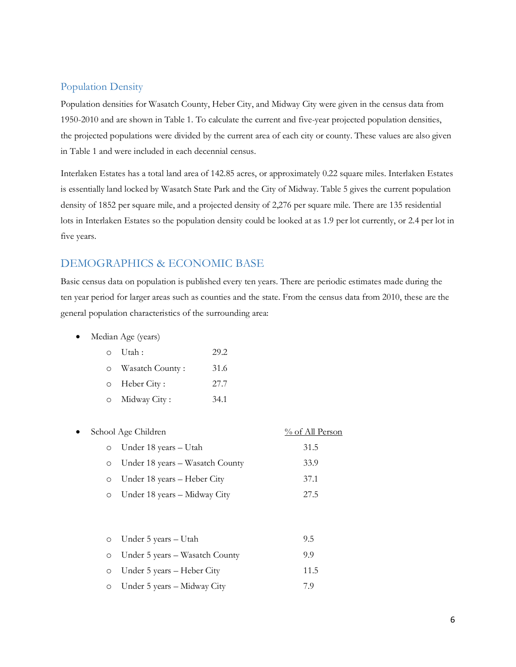#### Population Density

Population densities for Wasatch County, Heber City, and Midway City were given in the census data from 1950-2010 and are shown in Table 1. To calculate the current and five-year projected population densities, the projected populations were divided by the current area of each city or county. These values are also given in Table 1 and were included in each decennial census.

Interlaken Estates has a total land area of 142.85 acres, or approximately 0.22 square miles. Interlaken Estates is essentially land locked by Wasatch State Park and the City of Midway. Table 5 gives the current population density of 1852 per square mile, and a projected density of 2,276 per square mile. There are 135 residential lots in Interlaken Estates so the population density could be looked at as 1.9 per lot currently, or 2.4 per lot in five years.

### DEMOGRAPHICS & ECONOMIC BASE

Basic census data on population is published every ten years. There are periodic estimates made during the ten year period for larger areas such as counties and the state. From the census data from 2010, these are the general population characteristics of the surrounding area:

• Median Age (years)

| 0 Utah:             | 29.2 |
|---------------------|------|
| o Wasatch County:   | 31.6 |
| $\circ$ Heber City: | 27.7 |
| o Midway City:      | 34.1 |

| $\bullet$ |         | School Age Children             | % of All Person |
|-----------|---------|---------------------------------|-----------------|
|           |         | o Under 18 years – Utah         | 31.5            |
|           | $\circ$ | Under 18 years – Wasatch County | 33.9            |
|           |         | o Under 18 years – Heber City   | 37.1            |
|           | $\circ$ | Under 18 years – Midway City    | 27.5            |

| $\circ$ Under 5 years – Utah           | 9.5  |
|----------------------------------------|------|
| $\circ$ Under 5 years – Wasatch County | 9.9  |
| $\circ$ Under 5 years – Heber City     | 11.5 |
| $\circ$ Under 5 years – Midway City    | 79   |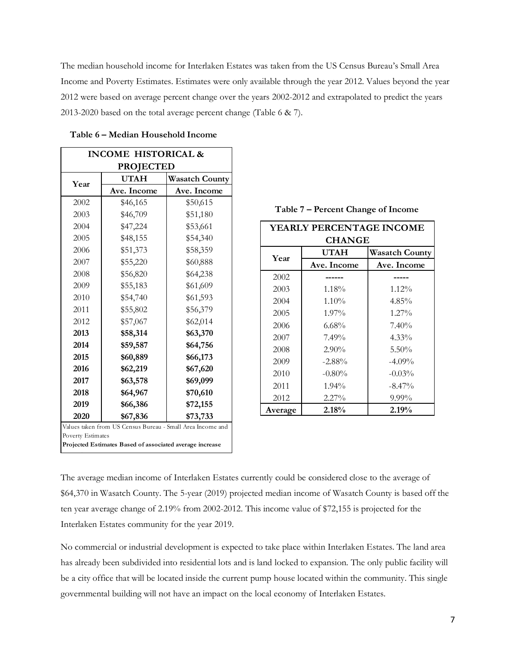The median household income for Interlaken Estates was taken from the US Census Bureau's Small Area Income and Poverty Estimates. Estimates were only available through the year 2012. Values beyond the year 2012 were based on average percent change over the years 2002-2012 and extrapolated to predict the years 2013-2020 based on the total average percent change (Table 6 & 7).

| <b>INCOME HISTORICAL &amp;</b>                                                |             |                |  |  |
|-------------------------------------------------------------------------------|-------------|----------------|--|--|
| <b>PROJECTED</b>                                                              |             |                |  |  |
| Year                                                                          | UTAH        | Wasatch County |  |  |
|                                                                               | Ave. Income | Ave. Income    |  |  |
| 2002                                                                          | \$46,165    | \$50,615       |  |  |
| 2003                                                                          | \$46,709    | \$51,180       |  |  |
| 2004                                                                          | \$47,224    | \$53,661       |  |  |
| 2005                                                                          | \$48,155    | \$54,340       |  |  |
| 2006                                                                          | \$51,373    | \$58,359       |  |  |
| 2007                                                                          | \$55,220    | \$60,888       |  |  |
| 2008                                                                          | \$56,820    | \$64,238       |  |  |
| 2009                                                                          | \$55,183    | \$61,609       |  |  |
| 2010                                                                          | \$54,740    | \$61,593       |  |  |
| 2011                                                                          | \$55,802    | \$56,379       |  |  |
| 2012                                                                          | \$57,067    | \$62,014       |  |  |
| 2013                                                                          | \$58,314    | \$63,370       |  |  |
| 2014                                                                          | \$59,587    | \$64,756       |  |  |
| 2015                                                                          | \$60,889    | \$66,173       |  |  |
| 2016                                                                          | \$62,219    | \$67,620       |  |  |
| 2017                                                                          | \$63,578    | \$69,099       |  |  |
| 2018                                                                          | \$64,967    | \$70,610       |  |  |
| 2019                                                                          | \$66,386    | \$72,155       |  |  |
| 2020<br>\$67,836<br>\$73,733                                                  |             |                |  |  |
| Values taken from US Census Bureau - Small Area Income and                    |             |                |  |  |
| Poverty Estimates<br>Projected Estimates Based of associated average increase |             |                |  |  |
|                                                                               |             |                |  |  |

#### **Table 6 – Median Household Income**

 $\mathsf{r}$ 

| <b>YEARLY PERCENTAGE INCOME</b> |               |                       |  |
|---------------------------------|---------------|-----------------------|--|
|                                 | <b>CHANGE</b> |                       |  |
| Year                            | UTAH          | <b>Wasatch County</b> |  |
|                                 | Ave. Income   | Ave. Income           |  |
| 2002                            |               |                       |  |
| 2003                            | $1.18\%$      | $1.12\%$              |  |
| 2004                            | $1.10\%$      | $4.85\%$              |  |
| 2005                            | $1.97\%$      | $1.27\%$              |  |
| 2006                            | $6.68\%$      | 7.40%                 |  |
| 2007                            | 7.49%         | $4.33\%$              |  |
| 2008                            | $2.90\%$      | $5.50\%$              |  |
| 2009                            | $-2.88%$      | $-4.09\%$             |  |
| 2010                            | $-0.80\%$     | $-0.03\%$             |  |
| 2011                            | $1.94\%$      | $-8.47\%$             |  |
| 2012                            | $2.27\%$      | $9.99\%$              |  |
| Average                         | 2.18%         | 2.19%                 |  |

 **Table 7 – Percent Change of Income**

# The average median income of Interlaken Estates currently could be considered close to the average of \$64,370 in Wasatch County. The 5-year (2019) projected median income of Wasatch County is based off the ten year average change of 2.19% from 2002-2012. This income value of \$72,155 is projected for the Interlaken Estates community for the year 2019.

No commercial or industrial development is expected to take place within Interlaken Estates. The land area has already been subdivided into residential lots and is land locked to expansion. The only public facility will be a city office that will be located inside the current pump house located within the community. This single governmental building will not have an impact on the local economy of Interlaken Estates.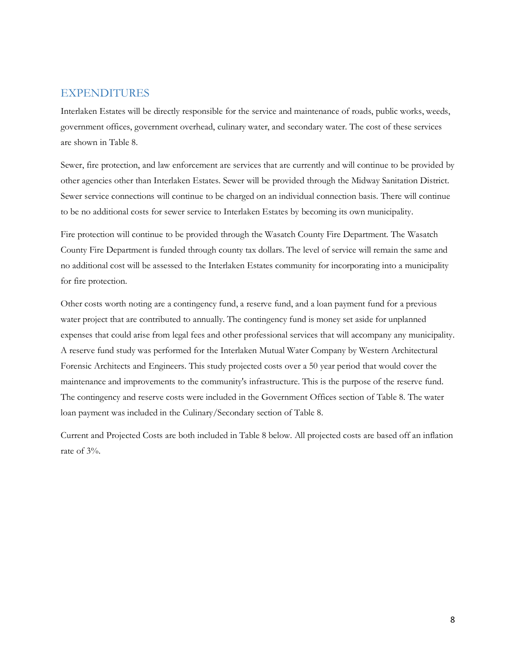### EXPENDITURES

Interlaken Estates will be directly responsible for the service and maintenance of roads, public works, weeds, government offices, government overhead, culinary water, and secondary water. The cost of these services are shown in Table 8.

Sewer, fire protection, and law enforcement are services that are currently and will continue to be provided by other agencies other than Interlaken Estates. Sewer will be provided through the Midway Sanitation District. Sewer service connections will continue to be charged on an individual connection basis. There will continue to be no additional costs for sewer service to Interlaken Estates by becoming its own municipality.

Fire protection will continue to be provided through the Wasatch County Fire Department. The Wasatch County Fire Department is funded through county tax dollars. The level of service will remain the same and no additional cost will be assessed to the Interlaken Estates community for incorporating into a municipality for fire protection.

Other costs worth noting are a contingency fund, a reserve fund, and a loan payment fund for a previous water project that are contributed to annually. The contingency fund is money set aside for unplanned expenses that could arise from legal fees and other professional services that will accompany any municipality. A reserve fund study was performed for the Interlaken Mutual Water Company by Western Architectural Forensic Architects and Engineers. This study projected costs over a 50 year period that would cover the maintenance and improvements to the community's infrastructure. This is the purpose of the reserve fund. The contingency and reserve costs were included in the Government Offices section of Table 8. The water loan payment was included in the Culinary/Secondary section of Table 8.

Current and Projected Costs are both included in Table 8 below. All projected costs are based off an inflation rate of 3%.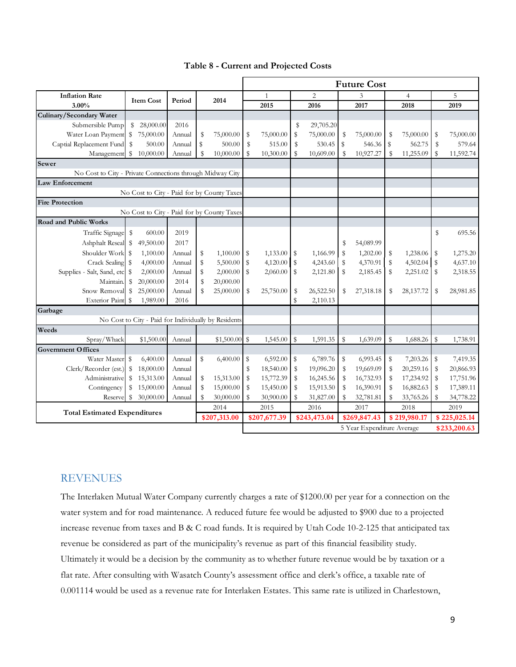| Table 8 - Current and Projected Costs |  |
|---------------------------------------|--|
|---------------------------------------|--|

|                                                           |                                                      |        |              |               | <b>Future Cost</b> |                            |              |                |              |           |              |                |              |              |  |
|-----------------------------------------------------------|------------------------------------------------------|--------|--------------|---------------|--------------------|----------------------------|--------------|----------------|--------------|-----------|--------------|----------------|--------------|--------------|--|
| <b>Inflation Rate</b><br><b>Item Cost</b><br>3.00%        |                                                      |        | 2014         |               | $\mathbf{1}$       |                            |              | $\overline{c}$ |              | 3         |              | $\overline{4}$ | 5            |              |  |
|                                                           |                                                      | Period |              |               |                    | 2015                       |              | 2016           |              | 2017      |              | 2018           |              | 2019         |  |
| Culinary/Secondary Water                                  |                                                      |        |              |               |                    |                            |              |                |              |           |              |                |              |              |  |
| Submersible Pump                                          | S<br>28,000.00                                       | 2016   |              |               |                    |                            | \$           | 29,705.20      |              |           |              |                |              |              |  |
| Water Loan Payment                                        | S<br>75,000.00                                       | Annual | \$           | 75,000.00     | S                  | 75,000.00                  | \$           | 75,000.00      | \$           | 75,000.00 | \$           | 75,000.00      | \$           | 75,000.00    |  |
| Captial Replacement Fund                                  | $\mathbb{S}$<br>500.00                               | Annual | $\mathbb S$  | 500.00        | $\mathbb S$        | 515.00                     | \$           | 530.45         | S            | 546.36    | \$           | 562.75         | \$           | 579.64       |  |
|                                                           | Management \$ 10,000.00                              | Annual | $\mathbb{S}$ | 10,000.00     | s                  | 10,300.00                  | S            | 10,609.00      | \$           | 10,927.27 | S            | 11,255.09      | $\mathbb{S}$ | 11,592.74    |  |
| Sewer                                                     |                                                      |        |              |               |                    |                            |              |                |              |           |              |                |              |              |  |
| No Cost to City - Private Connections through Midway City |                                                      |        |              |               |                    |                            |              |                |              |           |              |                |              |              |  |
| <b>Law Enforcement</b>                                    |                                                      |        |              |               |                    |                            |              |                |              |           |              |                |              |              |  |
|                                                           | No Cost to City - Paid for by County Taxes           |        |              |               |                    |                            |              |                |              |           |              |                |              |              |  |
| <b>Fire Protection</b>                                    |                                                      |        |              |               |                    |                            |              |                |              |           |              |                |              |              |  |
|                                                           | No Cost to City - Paid for by County Taxes           |        |              |               |                    |                            |              |                |              |           |              |                |              |              |  |
| <b>Road and Public Works</b>                              |                                                      |        |              |               |                    |                            |              |                |              |           |              |                |              |              |  |
| Traffic Signage \$                                        | 600.00                                               | 2019   |              |               |                    |                            |              |                |              |           |              |                | \$           | 695.56       |  |
| Ashphalt Reseal \$                                        | 49,500.00                                            | 2017   |              |               |                    |                            |              |                | \$           | 54,089.99 |              |                |              |              |  |
| Shoulder Work                                             | 1,100.00<br>$\mathbb{S}$                             | Annual | \$           | 1,100.00      | \$                 | $1,133.00$ \$              |              | 1,166.99       | \$           | 1,202.00  | \$           | 1,238.06       | \$           | 1,275.20     |  |
| Crack Sealing                                             | S<br>4,000.00                                        | Annual | \$           | 5,500.00      | $\mathbb S$        | $4,120.00$ \$              |              | 4,243.60       | \$           | 4,370.91  | \$           | 4,502.04       | \$           | 4,637.10     |  |
| Supplies - Salt, Sand, etc                                | 2,000.00<br>S                                        | Annual | \$           | $2,000.00$ \$ |                    | 2,060.00                   | $\mathbb{S}$ | 2,121.80       | \$           | 2,185.45  | \$           | 2,251.02       | \$           | 2,318.55     |  |
| Maintain.                                                 | 20,000.00<br>\$                                      | 2014   | \$           | 20,000.00     |                    |                            |              |                |              |           |              |                |              |              |  |
| Snow Removal                                              | $\mathbb{S}$<br>25,000.00                            | Annual | \$           | 25,000.00     | S                  | 25,750.00                  | S            | 26,522.50      | \$           | 27,318.18 | S            | 28,137.72      | S            | 28,981.85    |  |
| Exterior Paint \$                                         | 1,989.00                                             | 2016   |              |               |                    |                            | S            | 2,110.13       |              |           |              |                |              |              |  |
| Garbage                                                   |                                                      |        |              |               |                    |                            |              |                |              |           |              |                |              |              |  |
|                                                           | No Cost to City - Paid for Individually by Residents |        |              |               |                    |                            |              |                |              |           |              |                |              |              |  |
| Weeds                                                     |                                                      |        |              |               |                    |                            |              |                |              |           |              |                |              |              |  |
| Spray/Whack                                               | \$1,500.00                                           | Annual |              | \$1,500.00    | $\mathbb{S}$       | 1,545.00                   | S            | 1,591.35       | \$           | 1,639.09  | $\mathbb{S}$ | 1,688.26       | \$           | 1,738.91     |  |
| <b>Government Offices</b>                                 |                                                      |        |              |               |                    |                            |              |                |              |           |              |                |              |              |  |
| Water Master                                              | s<br>6,400.00                                        | Annual | S            | 6,400.00      | \$                 | 6,592.00                   | S            | 6,789.76       | \$           | 6,993.45  | \$           | 7,203.26       | \$           | 7,419.35     |  |
| Clerk/Recorder (est.)                                     | \$<br>18,000.00                                      | Annual |              |               | S                  | 18,540.00                  | S            | 19,096.20      | \$           | 19,669.09 | S            | 20,259.16      | \$           | 20,866.93    |  |
| Administrative                                            | \$<br>15,313.00                                      | Annual | \$           | 15,313.00     | S                  | 15,772.39                  | \$           | 16,245.56      | \$           | 16,732.93 | S            | 17,234.92      | \$           | 17,751.96    |  |
| Contingency                                               | \$<br>15,000.00                                      | Annual | \$           | 15,000.00     | S                  | 15,450.00                  | S            | 15,913.50      | \$           | 16,390.91 | S            | 16,882.63      | \$           | 17,389.11    |  |
| Reserve                                                   | 30,000.00                                            | s      | 30,900.00    | S             | 31,827.00          | $\$$                       | 32,781.81    | S              | 33,765.26    | S         | 34,778.22    |                |              |              |  |
| 2014                                                      |                                                      |        |              |               |                    | 2015                       |              | 2016           |              | 2017      |              | 2018           |              | 2019         |  |
| <b>Total Estimated Expenditures</b><br>\$207,313.00       |                                                      |        |              |               |                    | \$207,677.39               |              | \$243,473.04   | \$269,847.43 |           |              | \$219,980.17   |              | \$225,025.14 |  |
|                                                           |                                                      |        |              |               |                    | 5 Year Expenditure Average |              |                |              |           | \$233,200.63 |                |              |              |  |

## REVENUES

The Interlaken Mutual Water Company currently charges a rate of \$1200.00 per year for a connection on the water system and for road maintenance. A reduced future fee would be adjusted to \$900 due to a projected increase revenue from taxes and B & C road funds. It is required by Utah Code 10-2-125 that anticipated tax revenue be considered as part of the municipality's revenue as part of this financial feasibility study. Ultimately it would be a decision by the community as to whether future revenue would be by taxation or a flat rate. After consulting with Wasatch County's assessment office and clerk's office, a taxable rate of 0.001114 would be used as a revenue rate for Interlaken Estates. This same rate is utilized in Charlestown,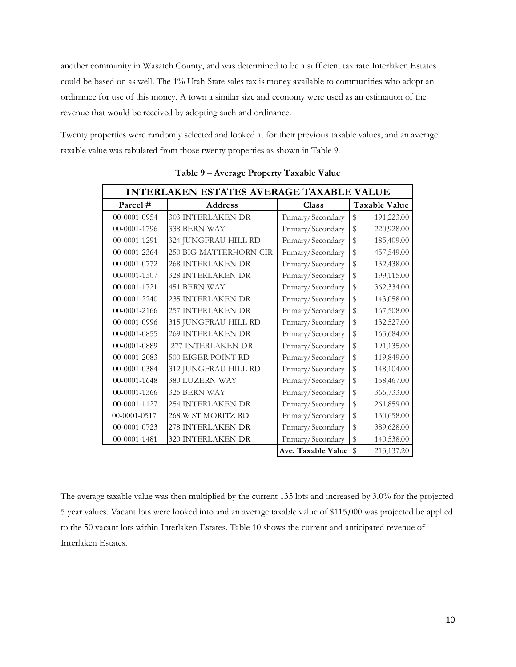another community in Wasatch County, and was determined to be a sufficient tax rate Interlaken Estates could be based on as well. The 1% Utah State sales tax is money available to communities who adopt an ordinance for use of this money. A town a similar size and economy were used as an estimation of the revenue that would be received by adopting such and ordinance.

Twenty properties were randomly selected and looked at for their previous taxable values, and an average taxable value was tabulated from those twenty properties as shown in Table 9.

| <b>INTERLAKEN ESTATES AVERAGE TAXABLE VALUE</b> |                          |                    |                      |  |  |  |  |  |  |
|-------------------------------------------------|--------------------------|--------------------|----------------------|--|--|--|--|--|--|
| Parcel#                                         | Address                  | Class              | <b>Taxable Value</b> |  |  |  |  |  |  |
| 00-0001-0954                                    | <b>303 INTERLAKEN DR</b> | Primary/Secondary  | \$<br>191,223.00     |  |  |  |  |  |  |
| 00-0001-1796                                    | 338 BERN WAY             | Primary/Secondary  | \$<br>220,928.00     |  |  |  |  |  |  |
| $00-0001-1291$                                  | 324 JUNGFRAU HILL RD     | Primary/Secondary  | \$<br>185,409.00     |  |  |  |  |  |  |
| 00-0001-2364                                    | 250 BIG MATTERHORN CIR   | Primary/Secondary  | \$<br>457,549.00     |  |  |  |  |  |  |
| 00-0001-0772                                    | <b>268 INTERLAKEN DR</b> | Primary/Secondary  | \$<br>132,438.00     |  |  |  |  |  |  |
| $00-0001-1507$                                  | <b>328 INTERLAKEN DR</b> | Primary/Secondary  | \$<br>199,115.00     |  |  |  |  |  |  |
| 00-0001-1721                                    | <b>451 BERN WAY</b>      | Primary/Secondary  | \$<br>362,334.00     |  |  |  |  |  |  |
| $00-0001-2240$                                  | <b>235 INTERLAKEN DR</b> | Primary/Secondary  | \$<br>143,058.00     |  |  |  |  |  |  |
| 00-0001-2166                                    | <b>257 INTERLAKEN DR</b> | Primary/Secondary  | \$<br>167,508.00     |  |  |  |  |  |  |
| 00-0001-0996                                    | 315 JUNGFRAU HILL RD     | Primary/Secondary  | \$<br>132,527.00     |  |  |  |  |  |  |
| 00-0001-0855                                    | 269 INTERLAKEN DR        | Primary/Secondary  | \$<br>163,684.00     |  |  |  |  |  |  |
| 00-0001-0889                                    | 277 INTERLAKEN DR        | Primary/Secondary  | \$<br>191,135.00     |  |  |  |  |  |  |
| 00-0001-2083                                    | 500 EIGER POINT RD       | Primary/Secondary  | \$<br>119,849.00     |  |  |  |  |  |  |
| 00-0001-0384                                    | 312 JUNGFRAU HILL RD     | Primary/Secondary  | \$<br>148,104.00     |  |  |  |  |  |  |
| $00-0001-1648$                                  | 380 LUZERN WAY           | Primary/Secondary  | \$<br>158,467.00     |  |  |  |  |  |  |
| 00-0001-1366                                    | 325 BERN WAY             | Primary/Secondary  | \$<br>366,733.00     |  |  |  |  |  |  |
| $00-0001-1127$                                  | <b>254 INTERLAKEN DR</b> | Primary/Secondary  | \$<br>261,859.00     |  |  |  |  |  |  |
| $00-0001-0517$                                  | 268 W ST MORITZ RD       | Primary/Secondary  | \$<br>130,658.00     |  |  |  |  |  |  |
| 00-0001-0723                                    | <b>278 INTERLAKEN DR</b> | Primary/Secondary  | \$<br>389,628.00     |  |  |  |  |  |  |
| 00-0001-1481                                    | 320 INTERLAKEN DR        | Primary/Secondary  | \$<br>140,538.00     |  |  |  |  |  |  |
|                                                 |                          | Ave. Taxable Value | 213,137.20<br>\$     |  |  |  |  |  |  |

**Table 9 – Average Property Taxable Value** 

The average taxable value was then multiplied by the current 135 lots and increased by 3.0% for the projected 5 year values. Vacant lots were looked into and an average taxable value of \$115,000 was projected be applied to the 50 vacant lots within Interlaken Estates. Table 10 shows the current and anticipated revenue of Interlaken Estates.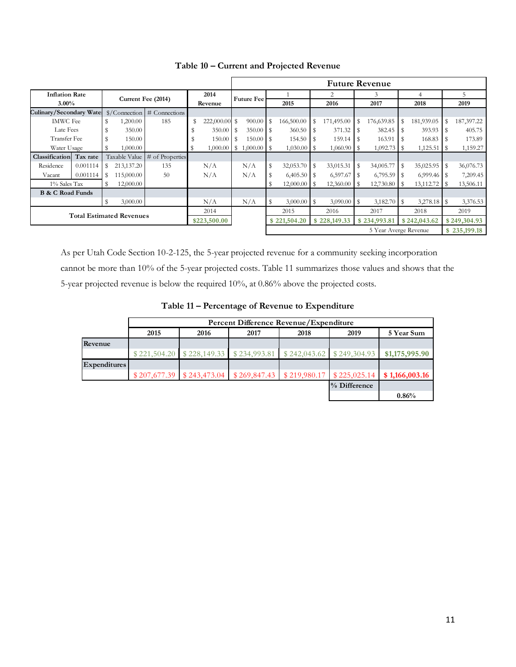|                                   |          |                    |               |                                                      | <b>Future Revenue</b> |                   |              |               |              |                   |              |                       |              |               |                |              |    |            |
|-----------------------------------|----------|--------------------|---------------|------------------------------------------------------|-----------------------|-------------------|--------------|---------------|--------------|-------------------|--------------|-----------------------|--------------|---------------|----------------|--------------|----|------------|
| <b>Inflation Rate</b><br>$3.00\%$ |          |                    |               | 2014<br>Revenue                                      |                       | <b>Future Fee</b> |              |               |              |                   | 2            |                       | 3            |               | $\overline{4}$ |              | 5  |            |
|                                   |          | Current Fee (2014) |               |                                                      |                       |                   |              |               | 2015         | 2016              |              | 2017                  |              | 2018          |                | 2019         |    |            |
| Culinary/Secondary Wate:          |          |                    |               | $\frac{\sqrt{2}}{\sqrt{2}}$ Connection # Connections |                       |                   |              |               |              |                   |              |                       |              |               |                |              |    |            |
| <b>IMWC</b> Fee                   |          | \$                 | 1,200.00      | 185                                                  | \$                    | 222,000.00 \$     |              | 900.00        | l s          | 166,500.00        | l \$         | 171,495.00            |              | 176,639.85    | \$             | 181,939.05   | S  | 187,397.22 |
| Late Fees                         |          | \$                 | 350.00        |                                                      |                       | 350.00            | -S           |               |              | 360.50            |              | 371.32                |              | 382.45        | S              | 393.93       | s  | 405.75     |
| Transfer Fee                      |          | \$                 | 150.00        |                                                      |                       | $150.00$ S        |              |               |              | 154.50            |              | 159.14                | - \$         | 163.91        |                | 168.83       |    | 173.89     |
| Water Usage                       |          | S                  | 1,000.00      |                                                      | s                     | $1,000.00$ \$     |              | $1,000.00$ \$ |              | $1,030.00$   \$   |              |                       |              | $1,092.73$ \$ |                |              |    | 1,159.27   |
| Classification Tax rate           |          |                    | Taxable Value | # of Properties                                      |                       |                   |              |               |              |                   |              |                       |              |               |                |              |    |            |
| Residence                         | 0.001114 | S                  | 213,137.20    | 135                                                  |                       | N/A               |              | N/A           | S            | $32,053.70$ \$    |              | 33,015.31             | s.           | 34,005.77     | S              | 35,025.95    | \$ | 36,076.73  |
| Vacant                            | 0.001114 | -S                 | 115,000.00    | 50                                                   |                       | N/A               |              | N/A           |              |                   |              | 6,597.67              | - \$         | $6,795.59$ S  |                |              |    | 7,209.45   |
| 1% Sales Tax                      |          |                    | 12,000.00     |                                                      |                       |                   |              |               |              |                   |              | 12,360.00             |              | 12,730.80     | - \$           | 13,112.72    | -S | 13,506.11  |
| <b>B &amp; C Road Funds</b>       |          |                    |               |                                                      |                       |                   |              |               |              |                   |              |                       |              |               |                |              |    |            |
|                                   |          | \$                 | 3,000.00      |                                                      |                       | N/A               |              | N/A           | S            | $3,000.00$ \ \ \$ |              | $3,090.00$ \ \ \$     |              | 3,182.70 \$   |                |              |    | 3,376.53   |
|                                   |          |                    |               | 2014                                                 |                       |                   |              | 2015          |              | 2016              |              | 2017                  |              | 2018          |                | 2019         |    |            |
| <b>Total Estimated Revenues</b>   |          |                    | \$223,500.00  |                                                      |                       |                   | \$221,504.20 |               | \$228,149.33 |                   | \$234,993.81 |                       | \$242,043.62 |               | \$249,304.93   |              |    |            |
|                                   |          |                    |               |                                                      |                       |                   |              |               |              |                   |              | 5 Year Averge Revenue |              |               |                | \$235,199.18 |    |            |

**Table 10 – Current and Projected Revenue** 

As per Utah Code Section 10-2-125, the 5-year projected revenue for a community seeking incorporation cannot be more than 10% of the 5-year projected costs. Table 11 summarizes those values and shows that the 5-year projected revenue is below the required 10%, at 0.86% above the projected costs.

| Table 11 – Percentage of Revenue to Expenditure |  |
|-------------------------------------------------|--|
|-------------------------------------------------|--|

|                     | Percent Difference Revenue/Expenditure |      |                                                                       |  |              |                                                                                       |  |  |  |  |  |  |
|---------------------|----------------------------------------|------|-----------------------------------------------------------------------|--|--------------|---------------------------------------------------------------------------------------|--|--|--|--|--|--|
|                     | 2015                                   | 2019 | 5 Year Sum                                                            |  |              |                                                                                       |  |  |  |  |  |  |
| Revenue             |                                        |      |                                                                       |  |              |                                                                                       |  |  |  |  |  |  |
|                     |                                        |      | $$221,504.20$ $$228,149.33$ $$234,993.81$ $$242,043.62$ $$249,304.93$ |  |              | \$1,175,995.90                                                                        |  |  |  |  |  |  |
| <b>Expenditures</b> |                                        |      |                                                                       |  |              |                                                                                       |  |  |  |  |  |  |
|                     |                                        |      |                                                                       |  |              | $$207,677.39$ $$243,473.04$ $$269,847.43$ $$219,980.17$ $$225,025.14$ $$1,166,003.16$ |  |  |  |  |  |  |
|                     |                                        |      |                                                                       |  | % Difference |                                                                                       |  |  |  |  |  |  |
|                     |                                        |      |                                                                       |  |              | 0.86%                                                                                 |  |  |  |  |  |  |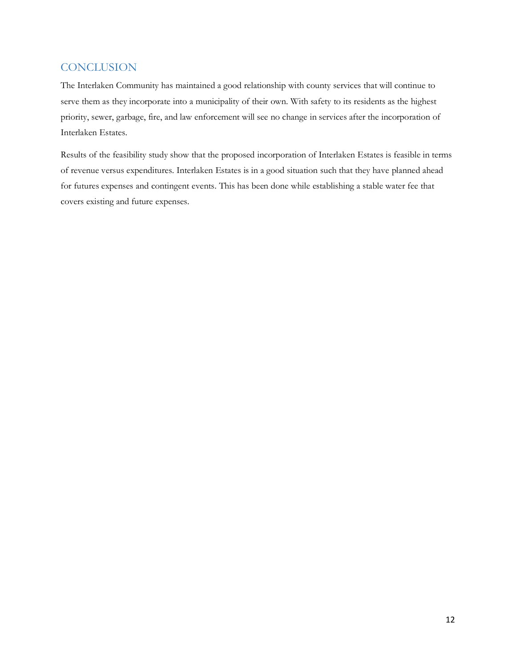## **CONCLUSION**

The Interlaken Community has maintained a good relationship with county services that will continue to serve them as they incorporate into a municipality of their own. With safety to its residents as the highest priority, sewer, garbage, fire, and law enforcement will see no change in services after the incorporation of Interlaken Estates.

Results of the feasibility study show that the proposed incorporation of Interlaken Estates is feasible in terms of revenue versus expenditures. Interlaken Estates is in a good situation such that they have planned ahead for futures expenses and contingent events. This has been done while establishing a stable water fee that covers existing and future expenses.